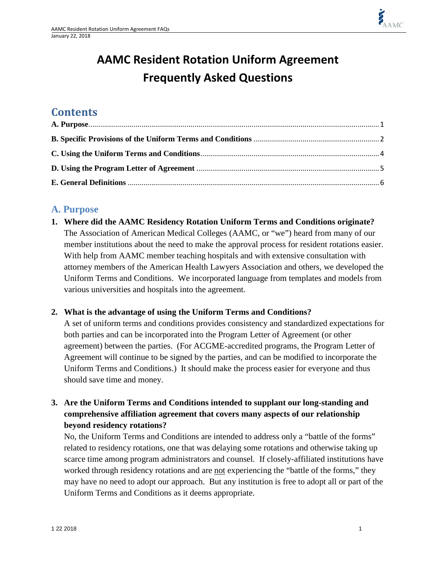# **AAMC Resident Rotation Uniform Agreement Frequently Asked Questions**

# **Contents**

# <span id="page-0-0"></span>**A. Purpose**

**1. Where did the AAMC Residency Rotation Uniform Terms and Conditions originate?** The Association of American Medical Colleges (AAMC, or "we") heard from many of our member institutions about the need to make the approval process for resident rotations easier. With help from AAMC member teaching hospitals and with extensive consultation with attorney members of the American Health Lawyers Association and others, we developed the Uniform Terms and Conditions. We incorporated language from templates and models from various universities and hospitals into the agreement.

#### **2. What is the advantage of using the Uniform Terms and Conditions?**

A set of uniform terms and conditions provides consistency and standardized expectations for both parties and can be incorporated into the Program Letter of Agreement (or other agreement) between the parties. (For ACGME-accredited programs, the Program Letter of Agreement will continue to be signed by the parties, and can be modified to incorporate the Uniform Terms and Conditions.) It should make the process easier for everyone and thus should save time and money.

#### **3. Are the Uniform Terms and Conditions intended to supplant our long-standing and comprehensive affiliation agreement that covers many aspects of our relationship beyond residency rotations?**

No, the Uniform Terms and Conditions are intended to address only a "battle of the forms" related to residency rotations, one that was delaying some rotations and otherwise taking up scarce time among program administrators and counsel. If closely-affiliated institutions have worked through residency rotations and are not experiencing the "battle of the forms," they may have no need to adopt our approach. But any institution is free to adopt all or part of the Uniform Terms and Conditions as it deems appropriate.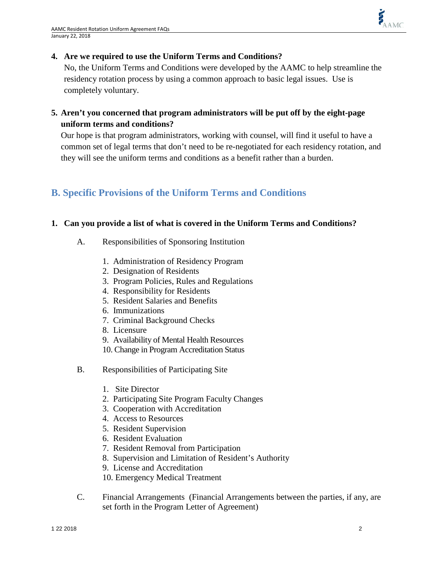#### **4. Are we required to use the Uniform Terms and Conditions?**

No, the Uniform Terms and Conditions were developed by the AAMC to help streamline the residency rotation process by using a common approach to basic legal issues. Use is completely voluntary.

**5. Aren't you concerned that program administrators will be put off by the eight-page uniform terms and conditions?**

Our hope is that program administrators, working with counsel, will find it useful to have a common set of legal terms that don't need to be re-negotiated for each residency rotation, and they will see the uniform terms and conditions as a benefit rather than a burden.

# <span id="page-1-0"></span>**B. Specific Provisions of the Uniform Terms and Conditions**

#### **1. Can you provide a list of what is covered in the Uniform Terms and Conditions?**

- A. Responsibilities of Sponsoring Institution
	- 1. Administration of Residency Program
	- 2. Designation of Residents
	- 3. Program Policies, Rules and Regulations
	- 4. Responsibility for Residents
	- 5. Resident Salaries and Benefits
	- 6. Immunizations
	- 7. Criminal Background Checks
	- 8. Licensure
	- 9. Availability of Mental Health Resources
	- 10. Change in Program Accreditation Status
- B. Responsibilities of Participating Site
	- 1. Site Director
	- 2. Participating Site Program Faculty Changes
	- 3. Cooperation with Accreditation
	- 4. Access to Resources
	- 5. Resident Supervision
	- 6. Resident Evaluation
	- 7. Resident Removal from Participation
	- 8. Supervision and Limitation of Resident's Authority
	- 9. License and Accreditation
	- 10. Emergency Medical Treatment
- C. Financial Arrangements (Financial Arrangements between the parties, if any, are set forth in the Program Letter of Agreement)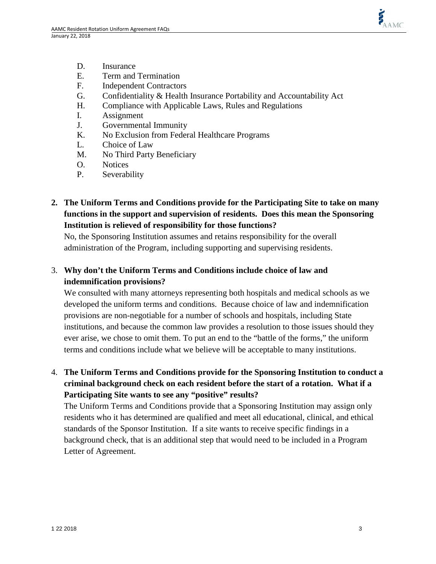

- D. Insurance
- E. Term and Termination
- F. Independent Contractors
- G. Confidentiality & Health Insurance Portability and Accountability Act
- H. Compliance with Applicable Laws, Rules and Regulations
- I. Assignment
- J. Governmental Immunity
- K. No Exclusion from Federal Healthcare Programs
- L. Choice of Law
- M. No Third Party Beneficiary
- O. Notices
- P. Severability
- **2. The Uniform Terms and Conditions provide for the Participating Site to take on many functions in the support and supervision of residents. Does this mean the Sponsoring Institution is relieved of responsibility for those functions?**

No, the Sponsoring Institution assumes and retains responsibility for the overall administration of the Program, including supporting and supervising residents.

#### 3. **Why don't the Uniform Terms and Conditions include choice of law and indemnification provisions?**

We consulted with many attorneys representing both hospitals and medical schools as we developed the uniform terms and conditions. Because choice of law and indemnification provisions are non-negotiable for a number of schools and hospitals, including State institutions, and because the common law provides a resolution to those issues should they ever arise, we chose to omit them. To put an end to the "battle of the forms," the uniform terms and conditions include what we believe will be acceptable to many institutions.

4. **The Uniform Terms and Conditions provide for the Sponsoring Institution to conduct a criminal background check on each resident before the start of a rotation. What if a Participating Site wants to see any "positive" results?** 

The Uniform Terms and Conditions provide that a Sponsoring Institution may assign only residents who it has determined are qualified and meet all educational, clinical, and ethical standards of the Sponsor Institution. If a site wants to receive specific findings in a background check, that is an additional step that would need to be included in a Program Letter of Agreement.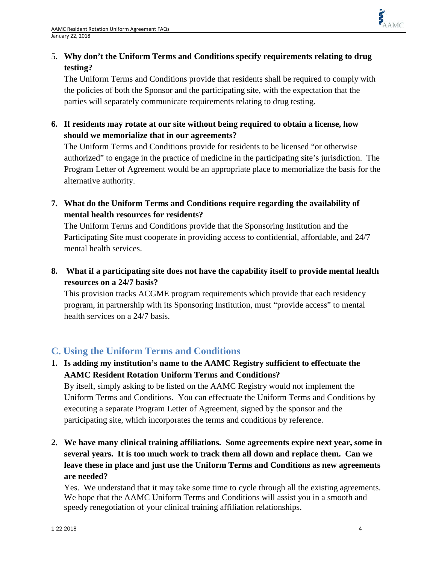# 5. **Why don't the Uniform Terms and Conditions specify requirements relating to drug testing?**

The Uniform Terms and Conditions provide that residents shall be required to comply with the policies of both the Sponsor and the participating site, with the expectation that the parties will separately communicate requirements relating to drug testing.

**6. If residents may rotate at our site without being required to obtain a license, how should we memorialize that in our agreements?**

The Uniform Terms and Conditions provide for residents to be licensed "or otherwise authorized" to engage in the practice of medicine in the participating site's jurisdiction. The Program Letter of Agreement would be an appropriate place to memorialize the basis for the alternative authority.

**7. What do the Uniform Terms and Conditions require regarding the availability of mental health resources for residents?**

The Uniform Terms and Conditions provide that the Sponsoring Institution and the Participating Site must cooperate in providing access to confidential, affordable, and 24/7 mental health services.

**8. What if a participating site does not have the capability itself to provide mental health resources on a 24/7 basis?**

This provision tracks ACGME program requirements which provide that each residency program, in partnership with its Sponsoring Institution, must "provide access" to mental health services on a 24/7 basis.

# <span id="page-3-0"></span>**C. Using the Uniform Terms and Conditions**

**1. Is adding my institution's name to the AAMC Registry sufficient to effectuate the AAMC Resident Rotation Uniform Terms and Conditions?**

By itself, simply asking to be listed on the AAMC Registry would not implement the Uniform Terms and Conditions. You can effectuate the Uniform Terms and Conditions by executing a separate Program Letter of Agreement, signed by the sponsor and the participating site, which incorporates the terms and conditions by reference.

**2. We have many clinical training affiliations. Some agreements expire next year, some in several years. It is too much work to track them all down and replace them. Can we leave these in place and just use the Uniform Terms and Conditions as new agreements are needed?**

Yes. We understand that it may take some time to cycle through all the existing agreements. We hope that the AAMC Uniform Terms and Conditions will assist you in a smooth and speedy renegotiation of your clinical training affiliation relationships.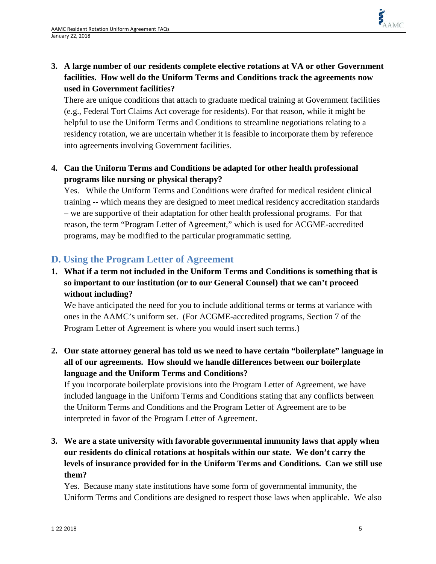# **3. A large number of our residents complete elective rotations at VA or other Government facilities. How well do the Uniform Terms and Conditions track the agreements now used in Government facilities?**

There are unique conditions that attach to graduate medical training at Government facilities (e.g., Federal Tort Claims Act coverage for residents). For that reason, while it might be helpful to use the Uniform Terms and Conditions to streamline negotiations relating to a residency rotation, we are uncertain whether it is feasible to incorporate them by reference into agreements involving Government facilities.

### **4. Can the Uniform Terms and Conditions be adapted for other health professional programs like nursing or physical therapy?**

Yes. While the Uniform Terms and Conditions were drafted for medical resident clinical training -- which means they are designed to meet medical residency accreditation standards – we are supportive of their adaptation for other health professional programs. For that reason, the term "Program Letter of Agreement," which is used for ACGME-accredited programs, may be modified to the particular programmatic setting.

# <span id="page-4-0"></span>**D. Using the Program Letter of Agreement**

**1. What if a term not included in the Uniform Terms and Conditions is something that is so important to our institution (or to our General Counsel) that we can't proceed without including?**

We have anticipated the need for you to include additional terms or terms at variance with ones in the AAMC's uniform set. (For ACGME-accredited programs, Section 7 of the Program Letter of Agreement is where you would insert such terms.)

**2. Our state attorney general has told us we need to have certain "boilerplate" language in all of our agreements. How should we handle differences between our boilerplate language and the Uniform Terms and Conditions?**

If you incorporate boilerplate provisions into the Program Letter of Agreement, we have included language in the Uniform Terms and Conditions stating that any conflicts between the Uniform Terms and Conditions and the Program Letter of Agreement are to be interpreted in favor of the Program Letter of Agreement.

**3. We are a state university with favorable governmental immunity laws that apply when our residents do clinical rotations at hospitals within our state. We don't carry the levels of insurance provided for in the Uniform Terms and Conditions. Can we still use them?** 

Yes. Because many state institutions have some form of governmental immunity, the Uniform Terms and Conditions are designed to respect those laws when applicable. We also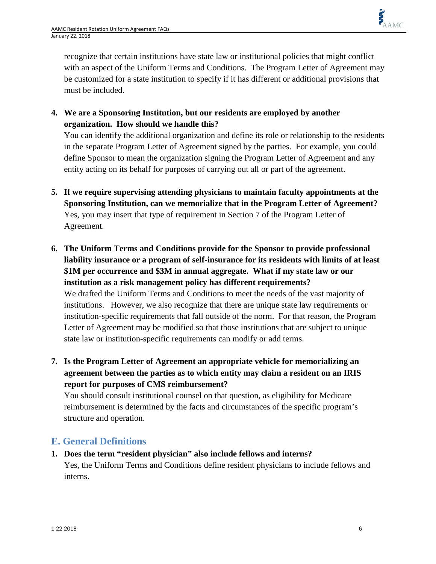recognize that certain institutions have state law or institutional policies that might conflict with an aspect of the Uniform Terms and Conditions. The Program Letter of Agreement may be customized for a state institution to specify if it has different or additional provisions that must be included.

**4. We are a Sponsoring Institution, but our residents are employed by another organization. How should we handle this?** 

You can identify the additional organization and define its role or relationship to the residents in the separate Program Letter of Agreement signed by the parties. For example, you could define Sponsor to mean the organization signing the Program Letter of Agreement and any entity acting on its behalf for purposes of carrying out all or part of the agreement.

- **5. If we require supervising attending physicians to maintain faculty appointments at the Sponsoring Institution, can we memorialize that in the Program Letter of Agreement?** Yes, you may insert that type of requirement in Section 7 of the Program Letter of Agreement.
- **6. The Uniform Terms and Conditions provide for the Sponsor to provide professional liability insurance or a program of self-insurance for its residents with limits of at least \$1M per occurrence and \$3M in annual aggregate. What if my state law or our institution as a risk management policy has different requirements?** We drafted the Uniform Terms and Conditions to meet the needs of the vast majority of institutions. However, we also recognize that there are unique state law requirements or institution-specific requirements that fall outside of the norm. For that reason, the Program Letter of Agreement may be modified so that those institutions that are subject to unique state law or institution-specific requirements can modify or add terms.
- **7. Is the Program Letter of Agreement an appropriate vehicle for memorializing an agreement between the parties as to which entity may claim a resident on an IRIS report for purposes of CMS reimbursement?**

You should consult institutional counsel on that question, as eligibility for Medicare reimbursement is determined by the facts and circumstances of the specific program's structure and operation.

# <span id="page-5-0"></span>**E. General Definitions**

**1. Does the term "resident physician" also include fellows and interns?** Yes, the Uniform Terms and Conditions define resident physicians to include fellows and interns.